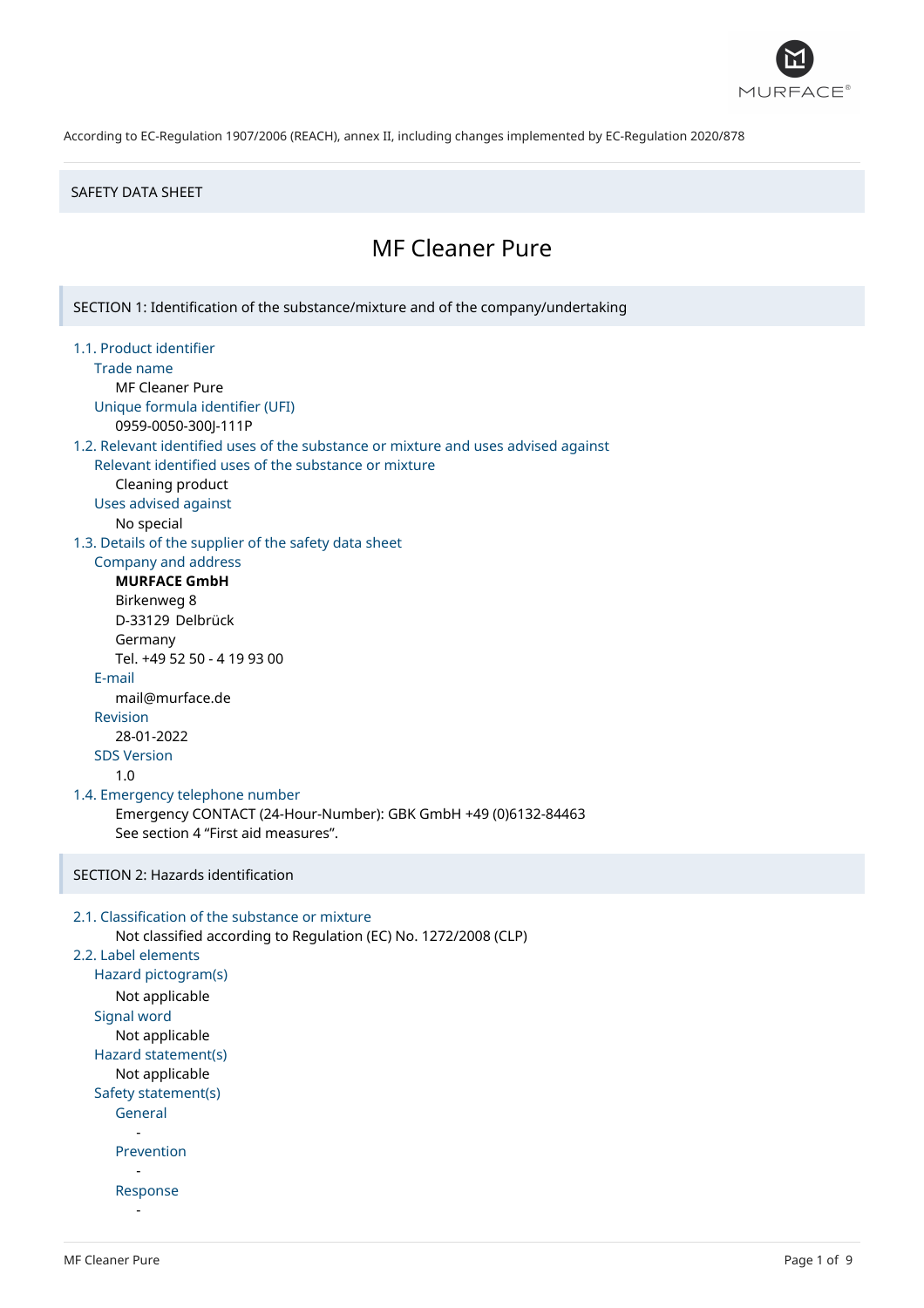

### SAFETY DATA SHEET

# MF Cleaner Pure

SECTION 1: Identification of the substance/mixture and of the company/undertaking

1.1. Product identifier Trade name MF Cleaner Pure Unique formula identifier (UFI) 0959-0050-300J-111P 1.2. Relevant identified uses of the substance or mixture and uses advised against Relevant identified uses of the substance or mixture Cleaning product Uses advised against No special 1.3. Details of the supplier of the safety data sheet Company and address **MURFACE GmbH** Birkenweg 8 D-33129 Delbrück Germany Tel. +49 52 50 - 4 19 93 00 E-mail mail@murface.de Revision 28-01-2022 SDS Version 1.0 1.4. Emergency telephone number Emergency CONTACT (24-Hour-Number): GBK GmbH +49 (0)6132-84463 See section 4 "First aid measures". SECTION 2: Hazards identification

```
2.1. Classification of the substance or mixture
      Not classified according to Regulation (EC) No. 1272/2008 (CLP)
2.2. Label elements
   Hazard pictogram(s)
      Not applicable
   Signal word
      Not applicable
   Hazard statement(s)
      Not applicable
   Safety statement(s)
      General
         -
      Prevention
         -
      Response
         -
```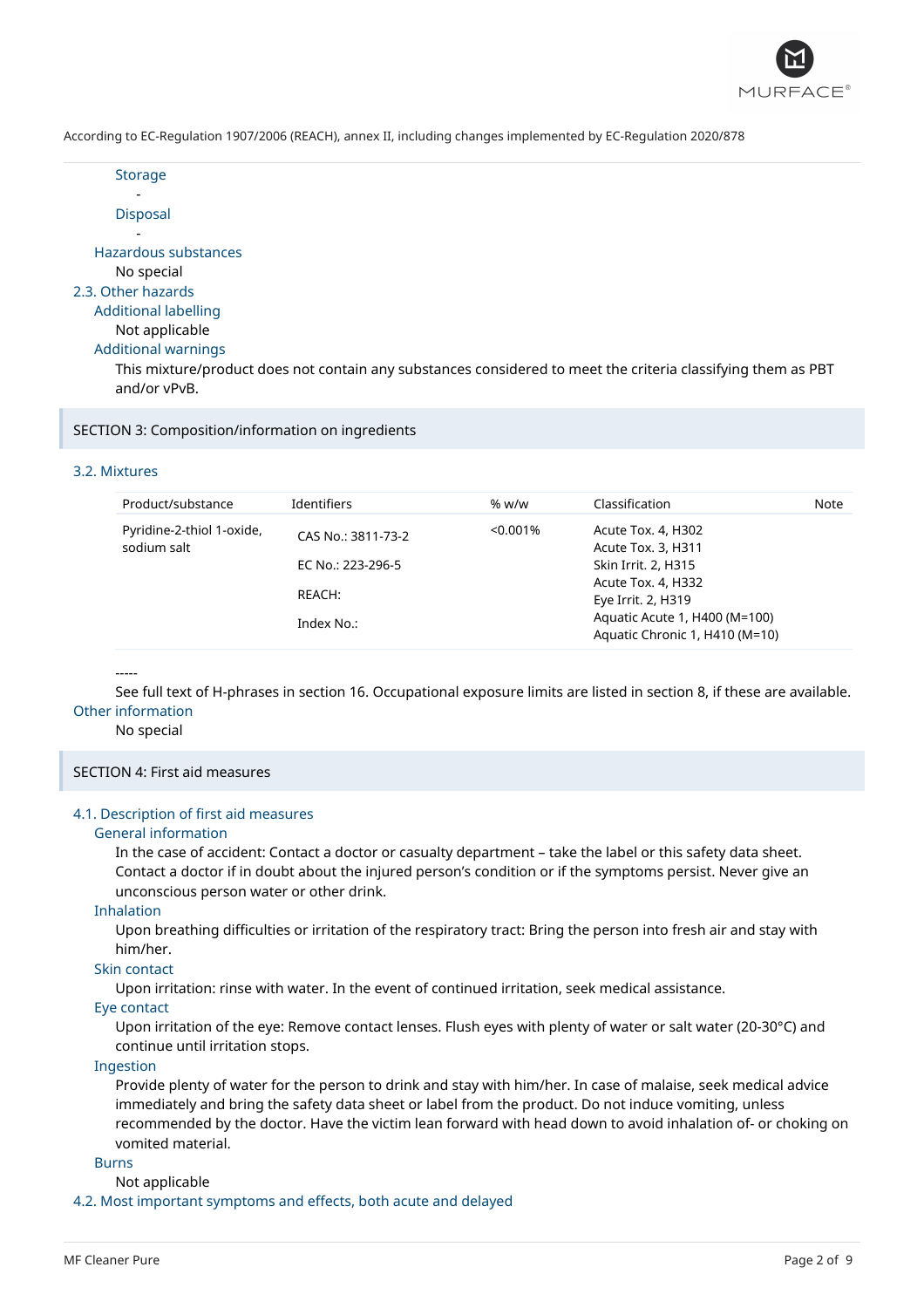

| × |  |
|---|--|
|---|--|

- Disposal

- Hazardous substances No special 2.3. Other hazards Additional labelling

## Not applicable

Additional warnings

This mixture/product does not contain any substances considered to meet the criteria classifying them as PBT and/or vPvB.

SECTION 3: Composition/information on ingredients

## 3.2. Mixtures

| Product/substance                        | <b>Identifiers</b> | % w/w       | Classification                           | Note |
|------------------------------------------|--------------------|-------------|------------------------------------------|------|
| Pyridine-2-thiol 1-oxide,<br>sodium salt | CAS No.: 3811-73-2 | $< 0.001\%$ | Acute Tox. 4, H302<br>Acute Tox. 3, H311 |      |
|                                          | EC No.: 223-296-5  |             | Skin Irrit. 2, H315                      |      |
|                                          |                    |             | Acute Tox. 4, H332                       |      |
|                                          | REACH:             |             | Eye Irrit. 2, H319                       |      |
|                                          | Index No.:         |             | Aquatic Acute 1, H400 (M=100)            |      |
|                                          |                    |             | Aquatic Chronic 1, H410 (M=10)           |      |

### -----

See full text of H-phrases in section 16. Occupational exposure limits are listed in section 8, if these are available. Other information

### No special

SECTION 4: First aid measures

### 4.1. Description of first aid measures

### General information

In the case of accident: Contact a doctor or casualty department – take the label or this safety data sheet. Contact a doctor if in doubt about the injured person's condition or if the symptoms persist. Never give an unconscious person water or other drink.

### Inhalation

Upon breathing difficulties or irritation of the respiratory tract: Bring the person into fresh air and stay with him/her.

### Skin contact

Upon irritation: rinse with water. In the event of continued irritation, seek medical assistance.

### Eye contact

Upon irritation of the eye: Remove contact lenses. Flush eyes with plenty of water or salt water (20-30°C) and continue until irritation stops.

### Ingestion

Provide plenty of water for the person to drink and stay with him/her. In case of malaise, seek medical advice immediately and bring the safety data sheet or label from the product. Do not induce vomiting, unless recommended by the doctor. Have the victim lean forward with head down to avoid inhalation of- or choking on vomited material.

## Burns

Not applicable

4.2. Most important symptoms and effects, both acute and delayed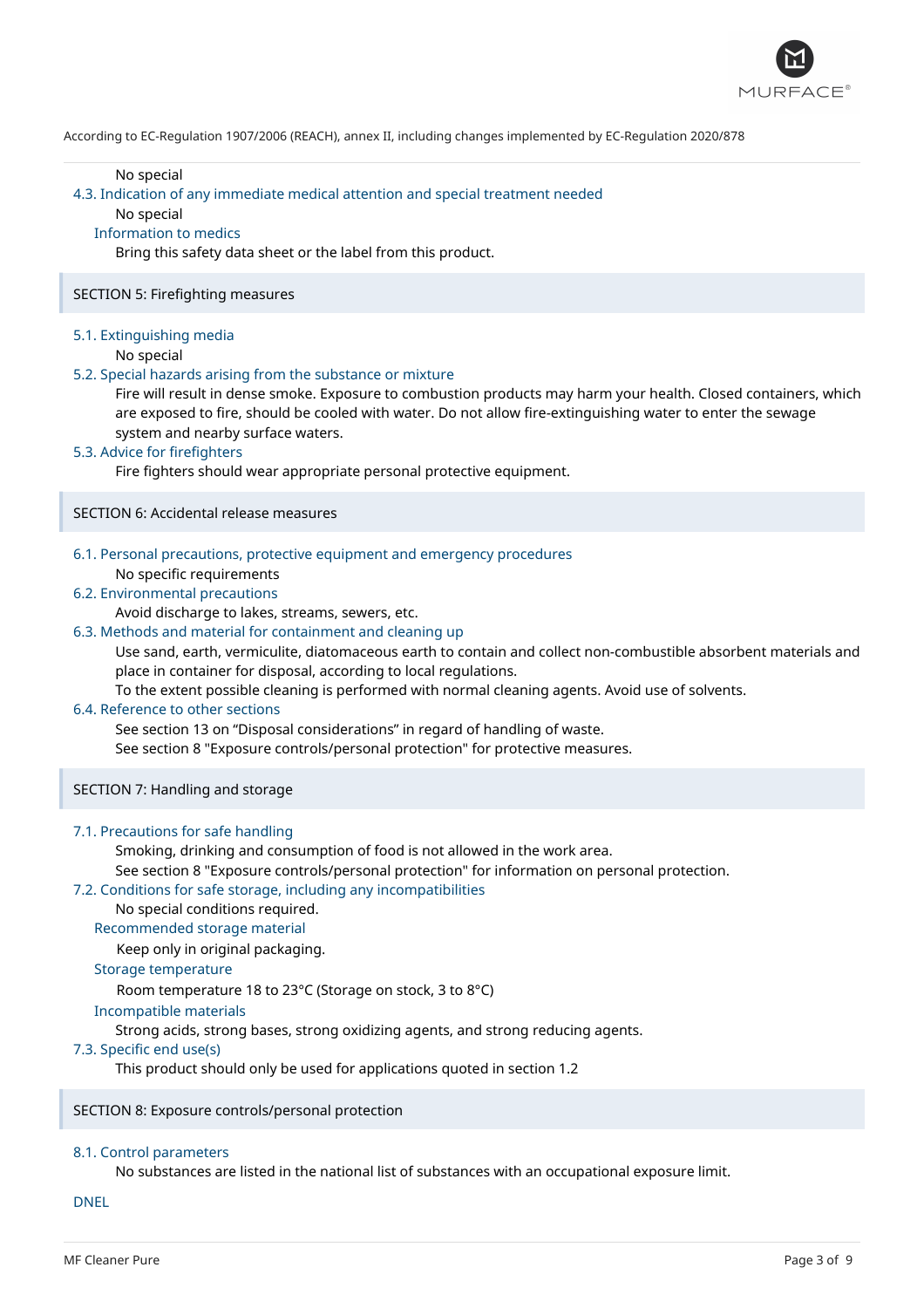

### No special

#### 4.3. Indication of any immediate medical attention and special treatment needed

## No special

#### Information to medics

Bring this safety data sheet or the label from this product.

#### SECTION 5: Firefighting measures

### 5.1. Extinguishing media

No special

#### 5.2. Special hazards arising from the substance or mixture

Fire will result in dense smoke. Exposure to combustion products may harm your health. Closed containers, which are exposed to fire, should be cooled with water. Do not allow fire-extinguishing water to enter the sewage system and nearby surface waters.

### 5.3. Advice for firefighters

Fire fighters should wear appropriate personal protective equipment.

### SECTION 6: Accidental release measures

## 6.1. Personal precautions, protective equipment and emergency procedures No specific requirements

### 6.2. Environmental precautions

Avoid discharge to lakes, streams, sewers, etc.

## 6.3. Methods and material for containment and cleaning up

Use sand, earth, vermiculite, diatomaceous earth to contain and collect non-combustible absorbent materials and place in container for disposal, according to local regulations.

To the extent possible cleaning is performed with normal cleaning agents. Avoid use of solvents.

#### 6.4. Reference to other sections

See section 13 on "Disposal considerations" in regard of handling of waste.

See section 8 "Exposure controls/personal protection" for protective measures.

SECTION 7: Handling and storage

### 7.1. Precautions for safe handling

Smoking, drinking and consumption of food is not allowed in the work area.

See section 8 "Exposure controls/personal protection" for information on personal protection.

## 7.2. Conditions for safe storage, including any incompatibilities

## No special conditions required.

Recommended storage material

Keep only in original packaging.

## Storage temperature

Room temperature 18 to 23°C (Storage on stock, 3 to 8°C)

#### Incompatible materials

Strong acids, strong bases, strong oxidizing agents, and strong reducing agents.

### 7.3. Specific end use(s)

This product should only be used for applications quoted in section 1.2

## SECTION 8: Exposure controls/personal protection

## 8.1. Control parameters

No substances are listed in the national list of substances with an occupational exposure limit.

DNEL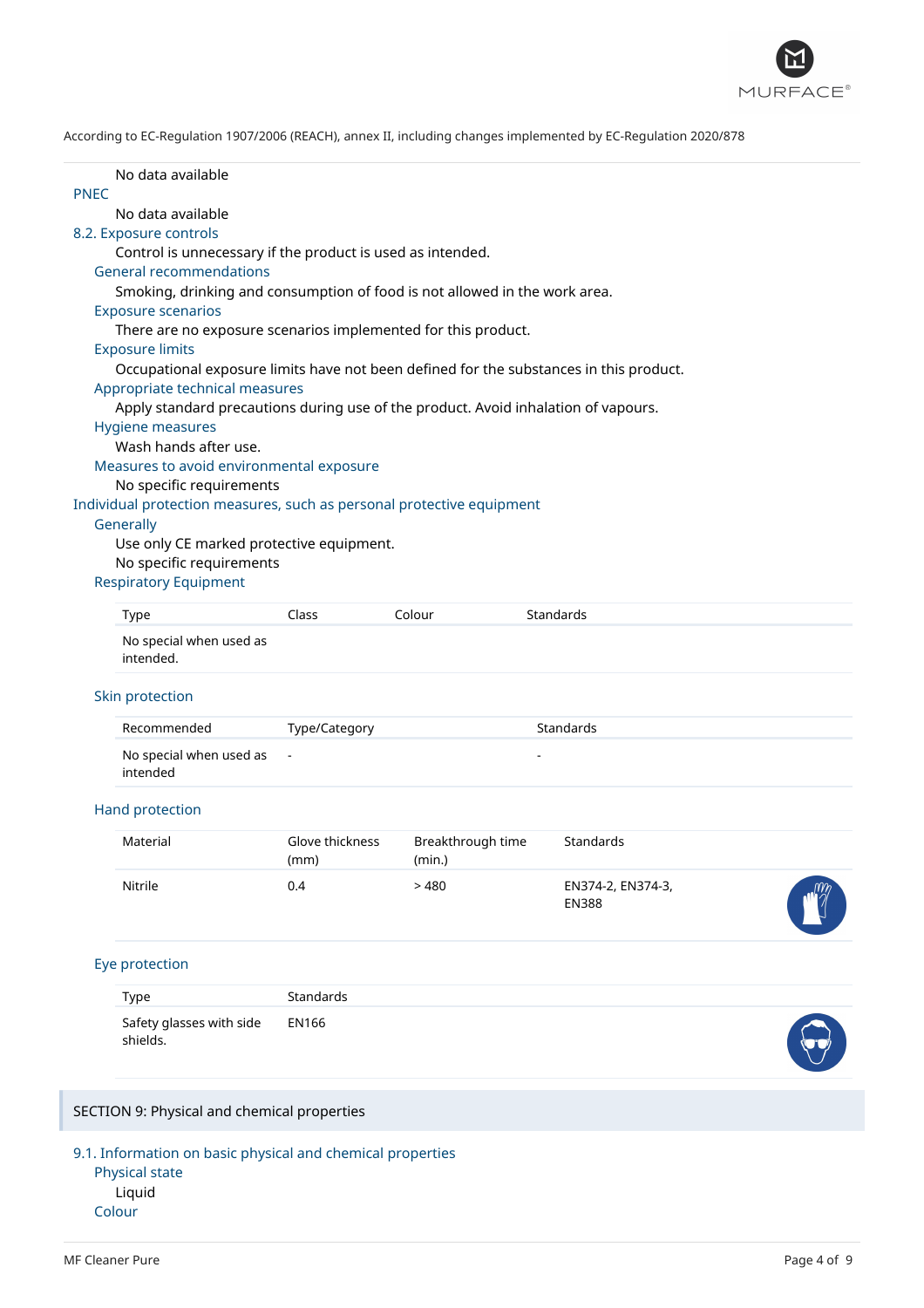

| No data available                    |                                                                                                                                                                                                                                                                                                    |                                                                                                                                                       |                                                                                                        |                                                                                                                                                                                                                                                                                                                                                                                                                                                             |
|--------------------------------------|----------------------------------------------------------------------------------------------------------------------------------------------------------------------------------------------------------------------------------------------------------------------------------------------------|-------------------------------------------------------------------------------------------------------------------------------------------------------|--------------------------------------------------------------------------------------------------------|-------------------------------------------------------------------------------------------------------------------------------------------------------------------------------------------------------------------------------------------------------------------------------------------------------------------------------------------------------------------------------------------------------------------------------------------------------------|
|                                      |                                                                                                                                                                                                                                                                                                    |                                                                                                                                                       |                                                                                                        |                                                                                                                                                                                                                                                                                                                                                                                                                                                             |
|                                      |                                                                                                                                                                                                                                                                                                    |                                                                                                                                                       |                                                                                                        |                                                                                                                                                                                                                                                                                                                                                                                                                                                             |
|                                      |                                                                                                                                                                                                                                                                                                    |                                                                                                                                                       |                                                                                                        |                                                                                                                                                                                                                                                                                                                                                                                                                                                             |
|                                      |                                                                                                                                                                                                                                                                                                    |                                                                                                                                                       |                                                                                                        |                                                                                                                                                                                                                                                                                                                                                                                                                                                             |
|                                      |                                                                                                                                                                                                                                                                                                    |                                                                                                                                                       |                                                                                                        |                                                                                                                                                                                                                                                                                                                                                                                                                                                             |
|                                      |                                                                                                                                                                                                                                                                                                    |                                                                                                                                                       |                                                                                                        |                                                                                                                                                                                                                                                                                                                                                                                                                                                             |
|                                      |                                                                                                                                                                                                                                                                                                    |                                                                                                                                                       |                                                                                                        |                                                                                                                                                                                                                                                                                                                                                                                                                                                             |
|                                      |                                                                                                                                                                                                                                                                                                    |                                                                                                                                                       |                                                                                                        |                                                                                                                                                                                                                                                                                                                                                                                                                                                             |
|                                      |                                                                                                                                                                                                                                                                                                    |                                                                                                                                                       |                                                                                                        |                                                                                                                                                                                                                                                                                                                                                                                                                                                             |
|                                      |                                                                                                                                                                                                                                                                                                    |                                                                                                                                                       |                                                                                                        |                                                                                                                                                                                                                                                                                                                                                                                                                                                             |
|                                      |                                                                                                                                                                                                                                                                                                    |                                                                                                                                                       |                                                                                                        |                                                                                                                                                                                                                                                                                                                                                                                                                                                             |
|                                      |                                                                                                                                                                                                                                                                                                    |                                                                                                                                                       |                                                                                                        |                                                                                                                                                                                                                                                                                                                                                                                                                                                             |
|                                      |                                                                                                                                                                                                                                                                                                    |                                                                                                                                                       |                                                                                                        |                                                                                                                                                                                                                                                                                                                                                                                                                                                             |
|                                      |                                                                                                                                                                                                                                                                                                    |                                                                                                                                                       |                                                                                                        |                                                                                                                                                                                                                                                                                                                                                                                                                                                             |
|                                      |                                                                                                                                                                                                                                                                                                    |                                                                                                                                                       |                                                                                                        |                                                                                                                                                                                                                                                                                                                                                                                                                                                             |
|                                      |                                                                                                                                                                                                                                                                                                    |                                                                                                                                                       |                                                                                                        |                                                                                                                                                                                                                                                                                                                                                                                                                                                             |
|                                      |                                                                                                                                                                                                                                                                                                    |                                                                                                                                                       |                                                                                                        |                                                                                                                                                                                                                                                                                                                                                                                                                                                             |
|                                      |                                                                                                                                                                                                                                                                                                    |                                                                                                                                                       |                                                                                                        |                                                                                                                                                                                                                                                                                                                                                                                                                                                             |
|                                      |                                                                                                                                                                                                                                                                                                    |                                                                                                                                                       |                                                                                                        |                                                                                                                                                                                                                                                                                                                                                                                                                                                             |
|                                      |                                                                                                                                                                                                                                                                                                    |                                                                                                                                                       |                                                                                                        |                                                                                                                                                                                                                                                                                                                                                                                                                                                             |
|                                      |                                                                                                                                                                                                                                                                                                    |                                                                                                                                                       |                                                                                                        |                                                                                                                                                                                                                                                                                                                                                                                                                                                             |
| <b>Type</b>                          | Class                                                                                                                                                                                                                                                                                              | Colour                                                                                                                                                | Standards                                                                                              |                                                                                                                                                                                                                                                                                                                                                                                                                                                             |
| No special when used as<br>intended. |                                                                                                                                                                                                                                                                                                    |                                                                                                                                                       |                                                                                                        |                                                                                                                                                                                                                                                                                                                                                                                                                                                             |
|                                      |                                                                                                                                                                                                                                                                                                    |                                                                                                                                                       |                                                                                                        |                                                                                                                                                                                                                                                                                                                                                                                                                                                             |
| Recommended                          | Type/Category                                                                                                                                                                                                                                                                                      |                                                                                                                                                       | Standards                                                                                              |                                                                                                                                                                                                                                                                                                                                                                                                                                                             |
| No special when used as<br>intended  | $\blacksquare$                                                                                                                                                                                                                                                                                     |                                                                                                                                                       |                                                                                                        |                                                                                                                                                                                                                                                                                                                                                                                                                                                             |
|                                      |                                                                                                                                                                                                                                                                                                    |                                                                                                                                                       |                                                                                                        |                                                                                                                                                                                                                                                                                                                                                                                                                                                             |
|                                      |                                                                                                                                                                                                                                                                                                    |                                                                                                                                                       |                                                                                                        |                                                                                                                                                                                                                                                                                                                                                                                                                                                             |
|                                      | (mm)                                                                                                                                                                                                                                                                                               | (min.)                                                                                                                                                |                                                                                                        |                                                                                                                                                                                                                                                                                                                                                                                                                                                             |
| Nitrile                              | 0.4                                                                                                                                                                                                                                                                                                | >480                                                                                                                                                  |                                                                                                        |                                                                                                                                                                                                                                                                                                                                                                                                                                                             |
|                                      |                                                                                                                                                                                                                                                                                                    |                                                                                                                                                       | <b>EN388</b>                                                                                           |                                                                                                                                                                                                                                                                                                                                                                                                                                                             |
|                                      |                                                                                                                                                                                                                                                                                                    |                                                                                                                                                       |                                                                                                        |                                                                                                                                                                                                                                                                                                                                                                                                                                                             |
|                                      |                                                                                                                                                                                                                                                                                                    |                                                                                                                                                       |                                                                                                        |                                                                                                                                                                                                                                                                                                                                                                                                                                                             |
| Type                                 | Standards                                                                                                                                                                                                                                                                                          |                                                                                                                                                       |                                                                                                        |                                                                                                                                                                                                                                                                                                                                                                                                                                                             |
| Safety glasses with side<br>shields. | <b>EN166</b>                                                                                                                                                                                                                                                                                       |                                                                                                                                                       |                                                                                                        |                                                                                                                                                                                                                                                                                                                                                                                                                                                             |
|                                      |                                                                                                                                                                                                                                                                                                    |                                                                                                                                                       |                                                                                                        |                                                                                                                                                                                                                                                                                                                                                                                                                                                             |
|                                      | No data available<br>8.2. Exposure controls<br><b>General recommendations</b><br><b>Exposure scenarios</b><br><b>Exposure limits</b><br>Hygiene measures<br>Wash hands after use.<br>Generally<br><b>Respiratory Equipment</b><br>Skin protection<br>Hand protection<br>Material<br>Eye protection | Appropriate technical measures<br>Measures to avoid environmental exposure<br>No specific requirements<br>No specific requirements<br>Glove thickness | Control is unnecessary if the product is used as intended.<br>Use only CE marked protective equipment. | Smoking, drinking and consumption of food is not allowed in the work area.<br>There are no exposure scenarios implemented for this product.<br>Occupational exposure limits have not been defined for the substances in this product.<br>Apply standard precautions during use of the product. Avoid inhalation of vapours.<br>Individual protection measures, such as personal protective equipment<br>Breakthrough time<br>Standards<br>EN374-2, EN374-3, |

TION 9: Physical and chemical properties

9.1. Information on basic physical and chemical properties

Physical state Liquid Colour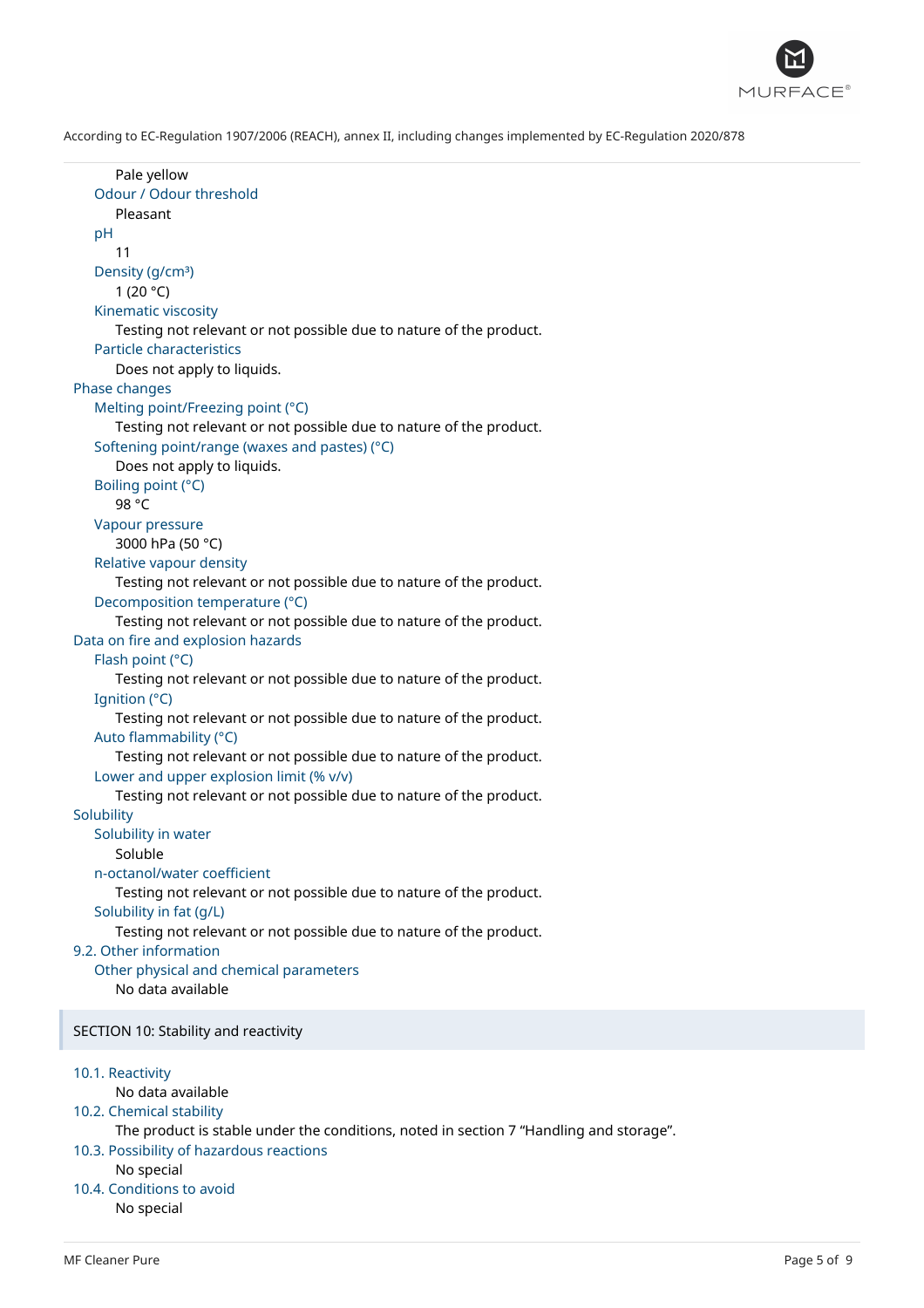

Pale yellow Odour / Odour threshold Pleasant  $pH$ 11 Density (g/cm<sup>3</sup>) 1 (20 $^{\circ}$ C) Kinematic viscosity Testing not relevant or not possible due to nature of the product. Particle characteristics Does not apply to liquids. Phase changes Melting point/Freezing point (°C) Testing not relevant or not possible due to nature of the product. Softening point/range (waxes and pastes) (°C) Does not apply to liquids. Boiling point (°C) 98 °C Vapour pressure 3000 hPa (50 °C) Relative vapour density Testing not relevant or not possible due to nature of the product. Decomposition temperature (°C) Testing not relevant or not possible due to nature of the product. Data on fire and explosion hazards Flash point (°C) Testing not relevant or not possible due to nature of the product. Ignition (°C) Testing not relevant or not possible due to nature of the product. Auto flammability (°C) Testing not relevant or not possible due to nature of the product. Lower and upper explosion limit (% v/v) Testing not relevant or not possible due to nature of the product. **Solubility** Solubility in water Soluble n-octanol/water coefficient Testing not relevant or not possible due to nature of the product. Solubility in fat (g/L) Testing not relevant or not possible due to nature of the product. 9.2. Other information Other physical and chemical parameters No data available SECTION 10: Stability and reactivity 10.1. Reactivity No data available 10.2. Chemical stability The product is stable under the conditions, noted in section 7 "Handling and storage". 10.3. Possibility of hazardous reactions No special 10.4. Conditions to avoid No special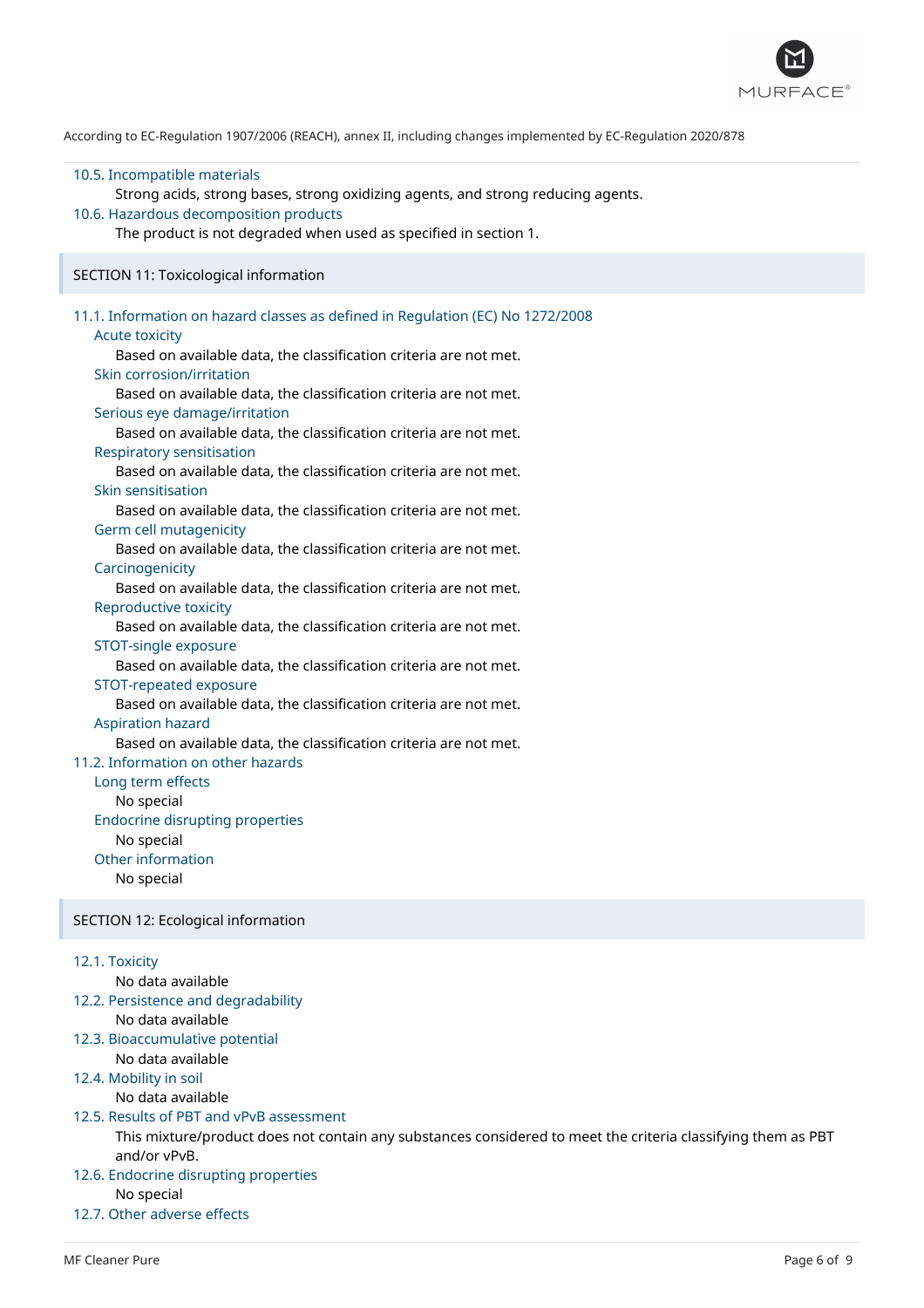

#### 10.5. Incompatible materials

Strong acids, strong bases, strong oxidizing agents, and strong reducing agents.

## 10.6. Hazardous decomposition products

The product is not degraded when used as specified in section 1.

#### SECTION 11: Toxicological information

## 11.1. Information on hazard classes as defined in Regulation (EC) No 1272/2008 Acute toxicity Based on available data, the classification criteria are not met. Skin corrosion/irritation Based on available data, the classification criteria are not met. Serious eye damage/irritation Based on available data, the classification criteria are not met. Respiratory sensitisation Based on available data, the classification criteria are not met. Skin sensitisation Based on available data, the classification criteria are not met. Germ cell mutagenicity Based on available data, the classification criteria are not met. **Carcinogenicity** Based on available data, the classification criteria are not met. Reproductive toxicity Based on available data, the classification criteria are not met. STOT-single exposure Based on available data, the classification criteria are not met. STOT-repeated exposure Based on available data, the classification criteria are not met. Aspiration hazard Based on available data, the classification criteria are not met. 11.2. Information on other hazards Long term effects No special Endocrine disrupting properties No special Other information No special SECTION 12: Ecological information

## 12.1. Toxicity

No data available

12.2. Persistence and degradability No data available

## 12.3. Bioaccumulative potential

- No data available
- 12.4. Mobility in soil

## No data available

## 12.5. Results of PBT and vPvB assessment

This mixture/product does not contain any substances considered to meet the criteria classifying them as PBT and/or vPvB.

## 12.6. Endocrine disrupting properties

No special

## 12.7. Other adverse effects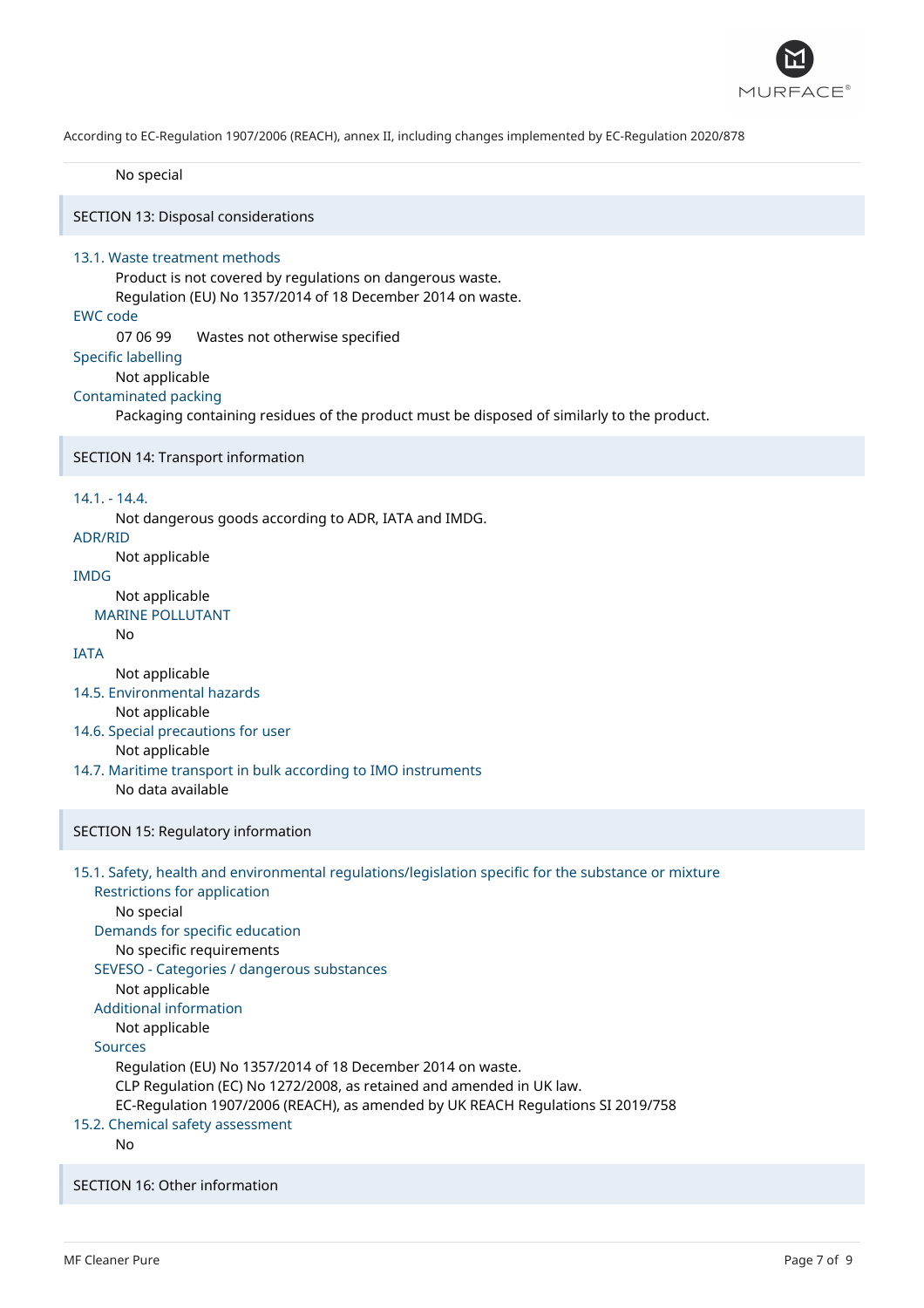

No special

SECTION 13: Disposal considerations

### 13.1. Waste treatment methods

Product is not covered by regulations on dangerous waste. Regulation (EU) No 1357/2014 of 18 December 2014 on waste.

## EWC code

07 06 99 Wastes not otherwise specified

#### Specific labelling

Not applicable

#### Contaminated packing

Packaging containing residues of the product must be disposed of similarly to the product.

SECTION 14: Transport information

## 14.1. - 14.4.

Not dangerous goods according to ADR, IATA and IMDG.

```
ADR/RID
```
Not applicable

## IMDG

Not applicable MARINE POLLUTANT

```
No
```
## IATA

Not applicable

14.5. Environmental hazards

Not applicable

- 14.6. Special precautions for user
	- Not applicable
- 14.7. Maritime transport in bulk according to IMO instruments No data available
	-

## SECTION 15: Regulatory information

## 15.1. Safety, health and environmental regulations/legislation specific for the substance or mixture

Restrictions for application No special

Demands for specific education

No specific requirements

## SEVESO - Categories / dangerous substances

Not applicable

## Additional information

Not applicable

## Sources

Regulation (EU) No 1357/2014 of 18 December 2014 on waste.

CLP Regulation (EC) No 1272/2008, as retained and amended in UK law.

EC-Regulation 1907/2006 (REACH), as amended by UK REACH Regulations SI 2019/758

## 15.2. Chemical safety assessment

No

SECTION 16: Other information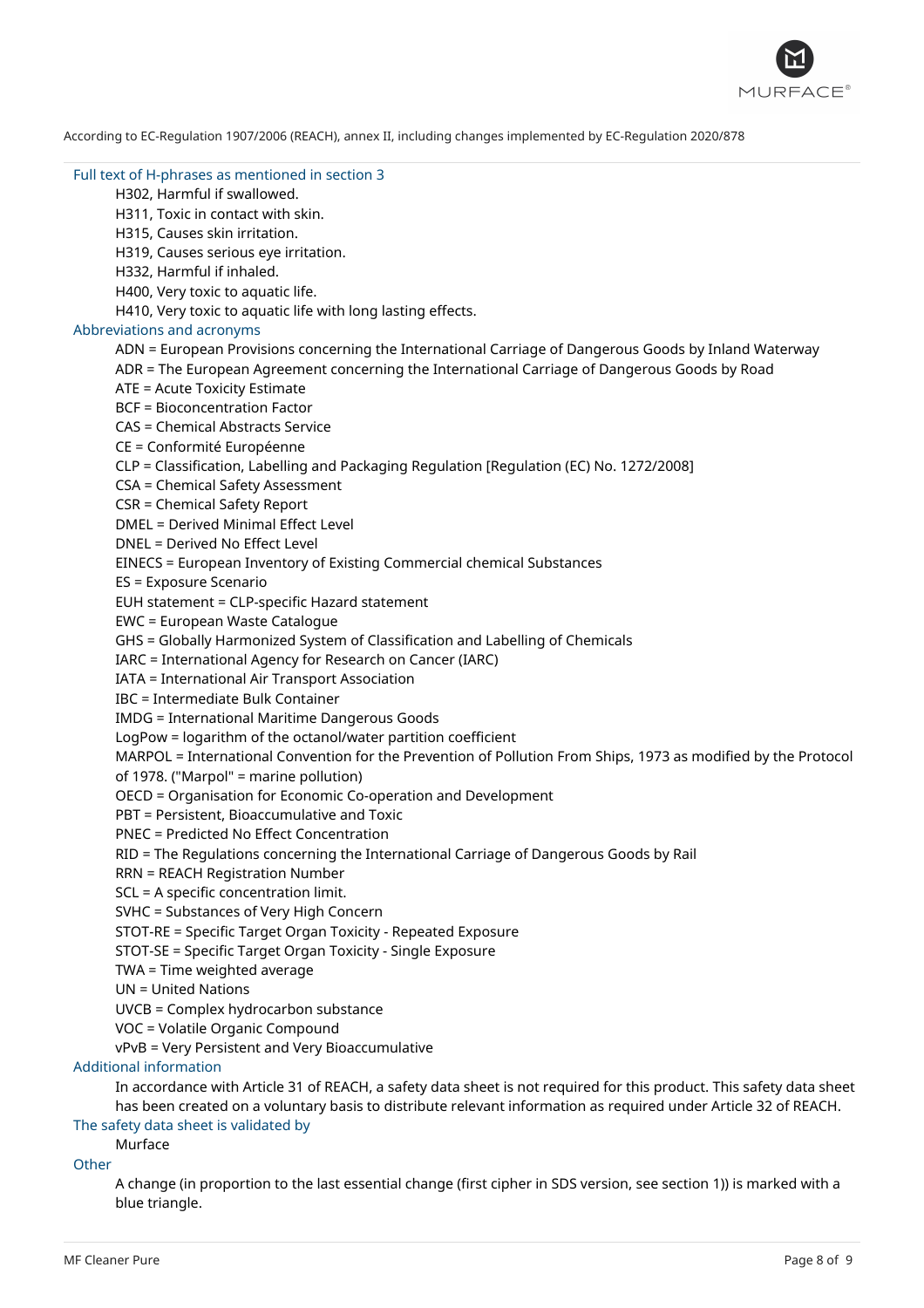

## Full text of H-phrases as mentioned in section 3

H302, Harmful if swallowed.

H311, Toxic in contact with skin.

H315, Causes skin irritation.

H319, Causes serious eye irritation.

H332, Harmful if inhaled.

H400, Very toxic to aquatic life.

H410, Very toxic to aquatic life with long lasting effects.

## Abbreviations and acronyms

ADN = European Provisions concerning the International Carriage of Dangerous Goods by Inland Waterway

ADR = The European Agreement concerning the International Carriage of Dangerous Goods by Road

ATE = Acute Toxicity Estimate

BCF = Bioconcentration Factor

CAS = Chemical Abstracts Service

CE = Conformité Européenne

CLP = Classification, Labelling and Packaging Regulation [Regulation (EC) No. 1272/2008]

CSA = Chemical Safety Assessment

CSR = Chemical Safety Report

DMEL = Derived Minimal Effect Level

DNEL = Derived No Effect Level

EINECS = European Inventory of Existing Commercial chemical Substances

ES = Exposure Scenario

EUH statement = CLP-specific Hazard statement

EWC = European Waste Catalogue

GHS = Globally Harmonized System of Classification and Labelling of Chemicals

IARC = International Agency for Research on Cancer (IARC)

IATA = International Air Transport Association

IBC = Intermediate Bulk Container

IMDG = International Maritime Dangerous Goods

LogPow = logarithm of the octanol/water partition coefficient

MARPOL = International Convention for the Prevention of Pollution From Ships, 1973 as modified by the Protocol

of 1978. ("Marpol" = marine pollution)

OECD = Organisation for Economic Co-operation and Development

PBT = Persistent, Bioaccumulative and Toxic

PNEC = Predicted No Effect Concentration

RID = The Regulations concerning the International Carriage of Dangerous Goods by Rail

RRN = REACH Registration Number

SCL = A specific concentration limit.

SVHC = Substances of Very High Concern

STOT-RE = Specific Target Organ Toxicity - Repeated Exposure

STOT-SE = Specific Target Organ Toxicity - Single Exposure

TWA = Time weighted average

UN = United Nations

UVCB = Complex hydrocarbon substance

VOC = Volatile Organic Compound

vPvB = Very Persistent and Very Bioaccumulative

### Additional information

In accordance with Article 31 of REACH, a safety data sheet is not required for this product. This safety data sheet has been created on a voluntary basis to distribute relevant information as required under Article 32 of REACH.

#### The safety data sheet is validated by Murface

**Other** 

A change (in proportion to the last essential change (first cipher in SDS version, see section 1)) is marked with a blue triangle.